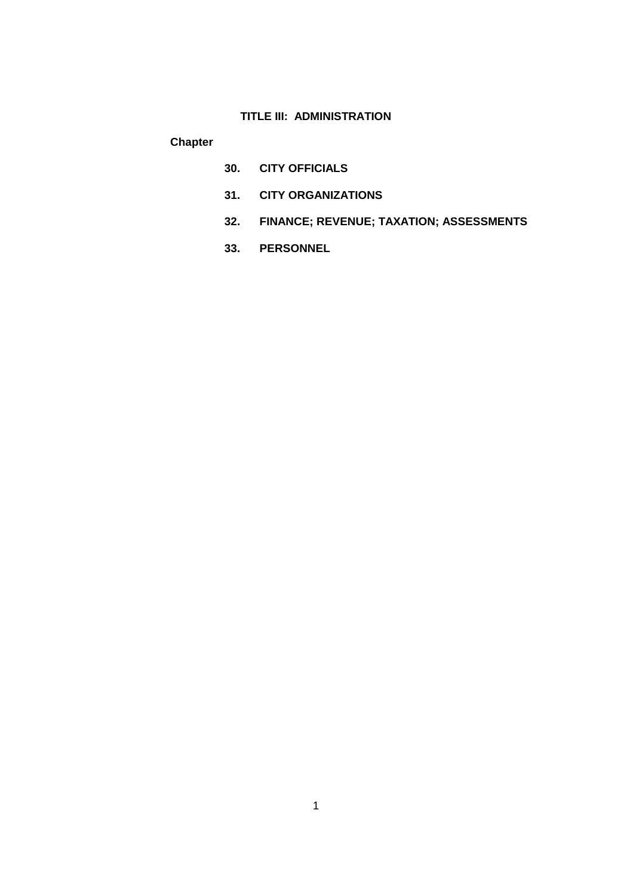# **TITLE III: ADMINISTRATION**

# **Chapter**

- **30. CITY OFFICIALS**
- **31. CITY ORGANIZATIONS**
- **32. FINANCE; REVENUE; TAXATION; ASSESSMENTS**
- **33. PERSONNEL**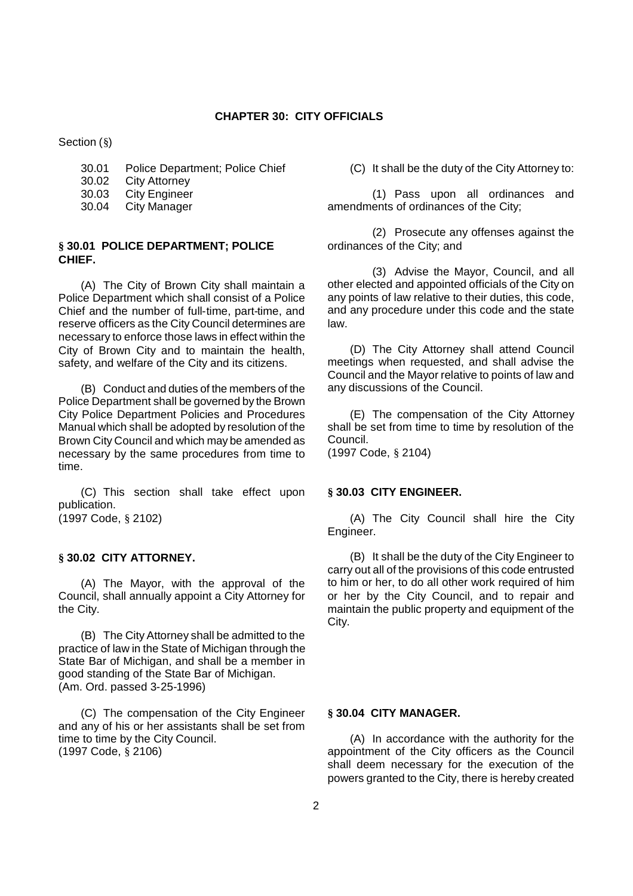#### **CHAPTER 30: CITY OFFICIALS**

Section (§)

- 30.01 Police Department; Police Chief
- 30.02 City Attorney
- 30.03 City Engineer
- 30.04 City Manager

### **§ 30.01 POLICE DEPARTMENT; POLICE CHIEF.**

(A) The City of Brown City shall maintain a Police Department which shall consist of a Police Chief and the number of full-time, part-time, and reserve officers as the City Council determines are necessary to enforce those laws in effect within the City of Brown City and to maintain the health, safety, and welfare of the City and its citizens.

(B) Conduct and duties of the members of the Police Department shall be governed by the Brown City Police Department Policies and Procedures Manual which shall be adopted by resolution of the Brown City Council and which may be amended as necessary by the same procedures from time to time.

(C) This section shall take effect upon publication. (1997 Code, § 2102)

#### **§ 30.02 CITY ATTORNEY.**

(A) The Mayor, with the approval of the Council, shall annually appoint a City Attorney for the City.

(B) The City Attorney shall be admitted to the practice of law in the State of Michigan through the State Bar of Michigan, and shall be a member in good standing of the State Bar of Michigan. (Am. Ord. passed 3-25-1996)

(C) The compensation of the City Engineer and any of his or her assistants shall be set from time to time by the City Council. (1997 Code, § 2106)

(C) It shall be the duty of the City Attorney to:

(1) Pass upon all ordinances and amendments of ordinances of the City;

(2) Prosecute any offenses against the ordinances of the City; and

(3) Advise the Mayor, Council, and all other elected and appointed officials of the City on any points of law relative to their duties, this code, and any procedure under this code and the state law.

(D) The City Attorney shall attend Council meetings when requested, and shall advise the Council and the Mayor relative to points of law and any discussions of the Council.

(E) The compensation of the City Attorney shall be set from time to time by resolution of the Council.

(1997 Code, § 2104)

#### **§ 30.03 CITY ENGINEER.**

(A) The City Council shall hire the City Engineer.

(B) It shall be the duty of the City Engineer to carry out all of the provisions of this code entrusted to him or her, to do all other work required of him or her by the City Council, and to repair and maintain the public property and equipment of the City.

#### **§ 30.04 CITY MANAGER.**

(A) In accordance with the authority for the appointment of the City officers as the Council shall deem necessary for the execution of the powers granted to the City, there is hereby created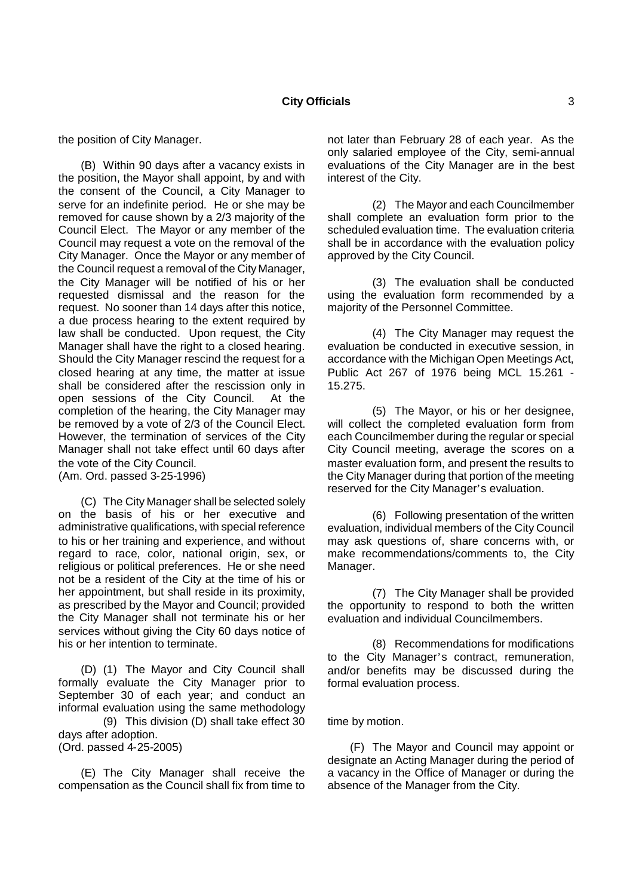the position of City Manager.

(B) Within 90 days after a vacancy exists in the position, the Mayor shall appoint, by and with the consent of the Council, a City Manager to serve for an indefinite period. He or she may be removed for cause shown by a 2/3 majority of the Council Elect. The Mayor or any member of the Council may request a vote on the removal of the City Manager. Once the Mayor or any member of the Council request a removal of the City Manager, the City Manager will be notified of his or her requested dismissal and the reason for the request. No sooner than 14 days after this notice, a due process hearing to the extent required by law shall be conducted. Upon request, the City Manager shall have the right to a closed hearing. Should the City Manager rescind the request for a closed hearing at any time, the matter at issue shall be considered after the rescission only in open sessions of the City Council. At the completion of the hearing, the City Manager may be removed by a vote of 2/3 of the Council Elect. However, the termination of services of the City Manager shall not take effect until 60 days after the vote of the City Council.

(Am. Ord. passed 3-25-1996)

(C) The City Manager shall be selected solely on the basis of his or her executive and administrative qualifications, with special reference to his or her training and experience, and without regard to race, color, national origin, sex, or religious or political preferences. He or she need not be a resident of the City at the time of his or her appointment, but shall reside in its proximity, as prescribed by the Mayor and Council; provided the City Manager shall not terminate his or her services without giving the City 60 days notice of his or her intention to terminate.

(D) (1) The Mayor and City Council shall formally evaluate the City Manager prior to September 30 of each year; and conduct an informal evaluation using the same methodology

(9) This division (D) shall take effect 30 days after adoption.

(Ord. passed 4-25-2005)

(E) The City Manager shall receive the compensation as the Council shall fix from time to not later than February 28 of each year. As the only salaried employee of the City, semi-annual evaluations of the City Manager are in the best interest of the City.

(2) The Mayor and each Councilmember shall complete an evaluation form prior to the scheduled evaluation time. The evaluation criteria shall be in accordance with the evaluation policy approved by the City Council.

(3) The evaluation shall be conducted using the evaluation form recommended by a majority of the Personnel Committee.

(4) The City Manager may request the evaluation be conducted in executive session, in accordance with the Michigan Open Meetings Act, Public Act 267 of 1976 being MCL 15.261 - 15.275.

(5) The Mayor, or his or her designee, will collect the completed evaluation form from each Councilmember during the regular or special City Council meeting, average the scores on a master evaluation form, and present the results to the City Manager during that portion of the meeting reserved for the City Manager's evaluation.

(6) Following presentation of the written evaluation, individual members of the City Council may ask questions of, share concerns with, or make recommendations/comments to, the City Manager.

(7) The City Manager shall be provided the opportunity to respond to both the written evaluation and individual Councilmembers.

(8) Recommendations for modifications to the City Manager's contract, remuneration, and/or benefits may be discussed during the formal evaluation process.

time by motion.

(F) The Mayor and Council may appoint or designate an Acting Manager during the period of a vacancy in the Office of Manager or during the absence of the Manager from the City.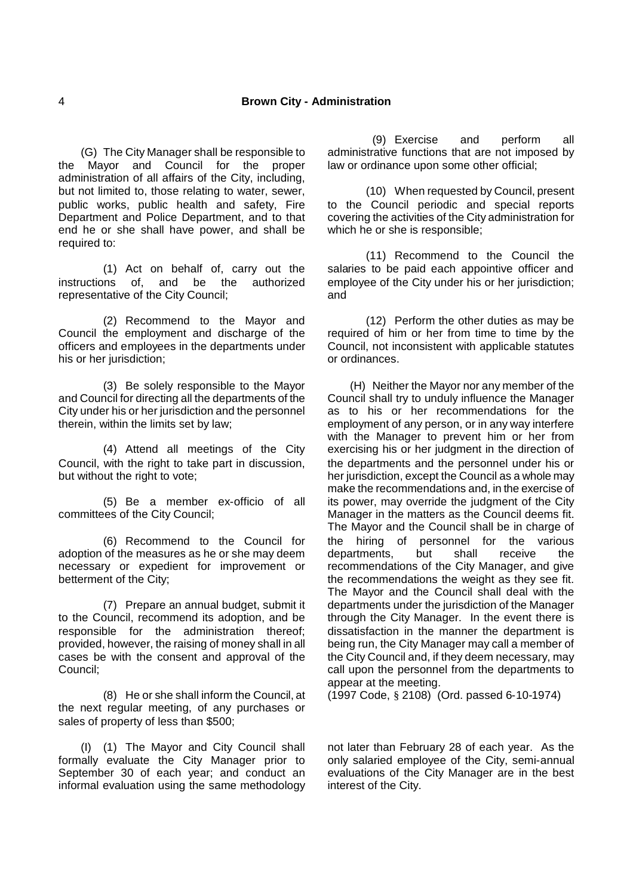(G) The City Manager shall be responsible to the Mayor and Council for the proper administration of all affairs of the City, including, but not limited to, those relating to water, sewer, public works, public health and safety, Fire Department and Police Department, and to that end he or she shall have power, and shall be required to:

(1) Act on behalf of, carry out the instructions of, and be the authorized representative of the City Council;

(2) Recommend to the Mayor and Council the employment and discharge of the officers and employees in the departments under his or her jurisdiction;

(3) Be solely responsible to the Mayor and Council for directing all the departments of the City under his or her jurisdiction and the personnel therein, within the limits set by law;

(4) Attend all meetings of the City Council, with the right to take part in discussion, but without the right to vote;

(5) Be a member ex-officio of all committees of the City Council;

(6) Recommend to the Council for adoption of the measures as he or she may deem necessary or expedient for improvement or betterment of the City;

(7) Prepare an annual budget, submit it to the Council, recommend its adoption, and be responsible for the administration thereof; provided, however, the raising of money shall in all cases be with the consent and approval of the Council;

(8) He or she shall inform the Council, at the next regular meeting, of any purchases or sales of property of less than \$500;

(I) (1) The Mayor and City Council shall formally evaluate the City Manager prior to September 30 of each year; and conduct an informal evaluation using the same methodology

(9) Exercise and perform all administrative functions that are not imposed by law or ordinance upon some other official;

(10) When requested by Council, present to the Council periodic and special reports covering the activities of the City administration for which he or she is responsible;

(11) Recommend to the Council the salaries to be paid each appointive officer and employee of the City under his or her jurisdiction; and

(12) Perform the other duties as may be required of him or her from time to time by the Council, not inconsistent with applicable statutes or ordinances.

(H) Neither the Mayor nor any member of the Council shall try to unduly influence the Manager as to his or her recommendations for the employment of any person, or in any way interfere with the Manager to prevent him or her from exercising his or her judgment in the direction of the departments and the personnel under his or her jurisdiction, except the Council as a whole may make the recommendations and, in the exercise of its power, may override the judgment of the City Manager in the matters as the Council deems fit. The Mayor and the Council shall be in charge of the hiring of personnel for the various departments, but shall receive the recommendations of the City Manager, and give the recommendations the weight as they see fit. The Mayor and the Council shall deal with the departments under the jurisdiction of the Manager through the City Manager. In the event there is dissatisfaction in the manner the department is being run, the City Manager may call a member of the City Council and, if they deem necessary, may call upon the personnel from the departments to appear at the meeting.

(1997 Code, § 2108) (Ord. passed 6-10-1974)

not later than February 28 of each year. As the only salaried employee of the City, semi-annual evaluations of the City Manager are in the best interest of the City.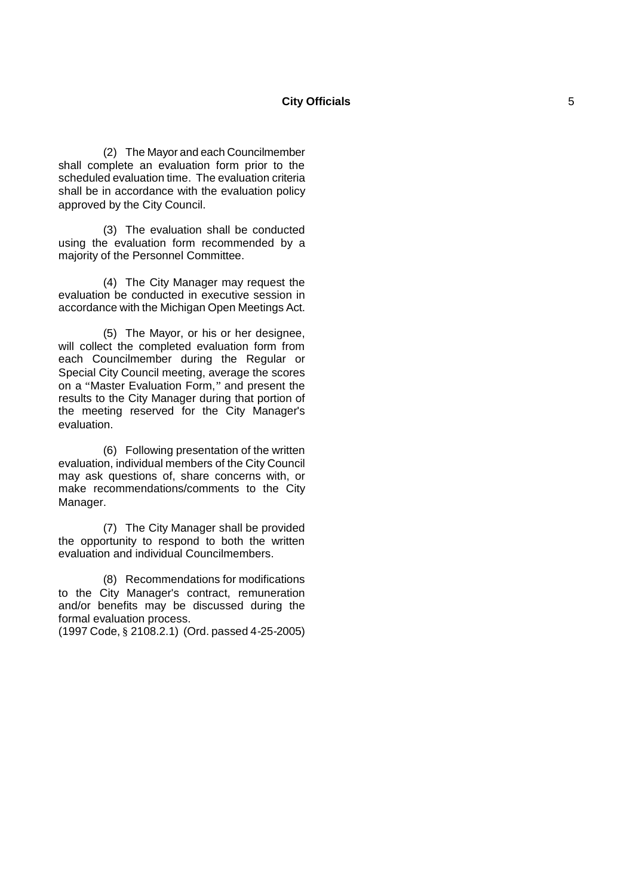(2) The Mayor and each Councilmember shall complete an evaluation form prior to the scheduled evaluation time. The evaluation criteria shall be in accordance with the evaluation policy approved by the City Council.

(3) The evaluation shall be conducted using the evaluation form recommended by a majority of the Personnel Committee.

(4) The City Manager may request the evaluation be conducted in executive session in accordance with the Michigan Open Meetings Act.

(5) The Mayor, or his or her designee, will collect the completed evaluation form from each Councilmember during the Regular or Special City Council meeting, average the scores on a "Master Evaluation Form, " and present the results to the City Manager during that portion of the meeting reserved for the City Manager's evaluation.

(6) Following presentation of the written evaluation, individual members of the City Council may ask questions of, share concerns with, or make recommendations/comments to the City Manager.

(7) The City Manager shall be provided the opportunity to respond to both the written evaluation and individual Councilmembers.

(8) Recommendations for modifications to the City Manager's contract, remuneration and/or benefits may be discussed during the formal evaluation process.

(1997 Code, § 2108.2.1) (Ord. passed 4 -25 -2005)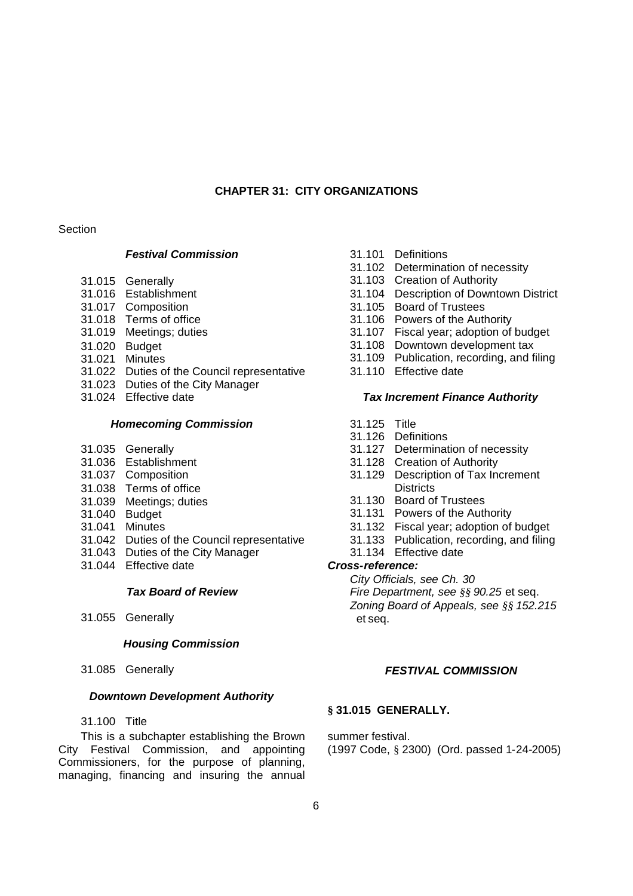# **CHAPTER 31: CITY ORGANIZATIONS**

#### **Section**

### *Festival Commission*

- 31.015 Generally
- 31.016 Establishment
- 31.017 Composition
- 31.018 Terms of office
- 31.019 Meetings; duties
- 31.020 Budget
- 31.021 Minutes
- 31.022 Duties of the Council representative
- 31.023 Duties of the City Manager
- 31.024 Effective date

### *Homecoming Commission*

- 31.035 Generally
- 31.036 Establishment
- 31.037 Composition
- 31.038 Terms of office
- 31.039 Meetings; duties
- 31.040 Budget
- 31.041 Minutes
- 31.042 Duties of the Council representative
- 31.043 Duties of the City Manager
- 31.044 Effective date

# *Tax Board of Review*

31.055 Generally

#### *Housing Commission*

31.085 Generally

# *Downtown Development Authority*

# 31.100 Title

This is a subchapter establishing the Brown City Festival Commission, and appointing Commissioners, for the purpose of planning, managing, financing and insuring the annual

- 31.101 Definitions
- 31.102 Determination of necessity
- 31.103 Creation of Authority
- 31.104 Description of Downtown District
- 31.105 Board of Trustees
- 31.106 Powers of the Authority
- 31.107 Fiscal year; adoption of budget
- 31.108 Downtown development tax
- 31.109 Publication, recording, and filing
- 31.110 Effective date

#### *Tax Increment Finance Authority*

- 31.125 Title
- 31.126 Definitions
- 31.127 Determination of necessity
- 31.128 Creation of Authority
- 31.129 Description of Tax Increment **Districts**
- 31.130 Board of Trustees
- 31.131 Powers of the Authority
- 31.132 Fiscal year; adoption of budget
- 31.133 Publication, recording, and filing
- 31.134 Effective date

## *Cross-reference:*

*City Officials, see Ch. 30 Fire Department, see §§ 90.25* et seq. *Zoning Board of Appeals, see §§ 152.215* et seq.

# *FESTIVAL COMMISSION*

# **§ 31.015 GENERALLY.**

summer festival. (1997 Code, § 2300) (Ord. passed 1-24-2005)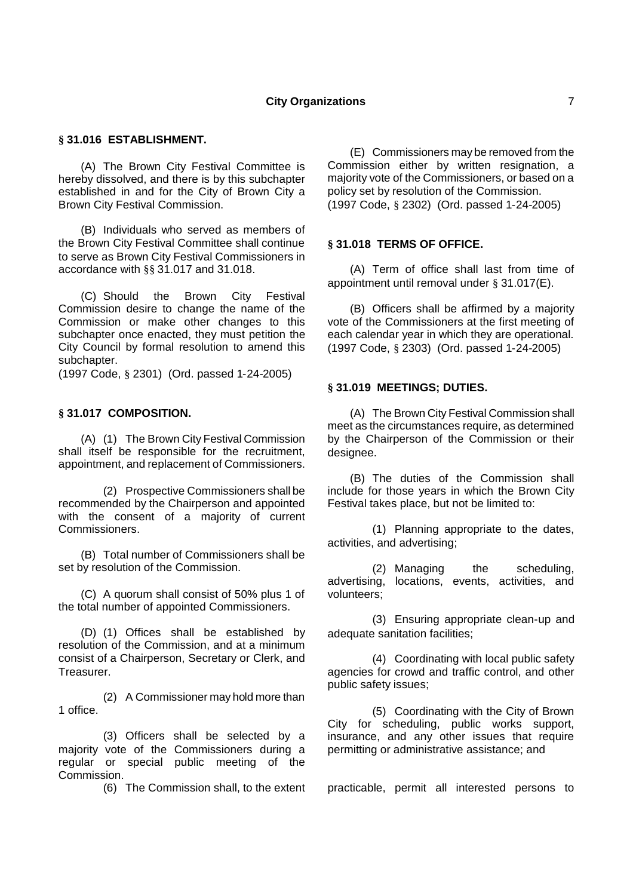### **§ 31.016 ESTABLISHMENT.**

(A) The Brown City Festival Committee is hereby dissolved, and there is by this subchapter established in and for the City of Brown City a Brown City Festival Commission.

(B) Individuals who served as members of the Brown City Festival Committee shall continue to serve as Brown City Festival Commissioners in accordance with §§ 31.017 and 31.018.

(C) Should the Brown City Festival Commission desire to change the name of the Commission or make other changes to this subchapter once enacted, they must petition the City Council by formal resolution to amend this subchapter.

(1997 Code, § 2301) (Ord. passed 1-24-2005)

# **§ 31.017 COMPOSITION.**

(A) (1) The Brown City Festival Commission shall itself be responsible for the recruitment, appointment, and replacement of Commissioners.

(2) Prospective Commissioners shall be recommended by the Chairperson and appointed with the consent of a majority of current Commissioners.

(B) Total number of Commissioners shall be set by resolution of the Commission.

(C) A quorum shall consist of 50% plus 1 of the total number of appointed Commissioners.

(D) (1) Offices shall be established by resolution of the Commission, and at a minimum consist of a Chairperson, Secretary or Clerk, and Treasurer.

(2) A Commissioner may hold more than 1 office.

(3) Officers shall be selected by a majority vote of the Commissioners during a regular or special public meeting of the Commission.

(E) Commissioners may be removed from the Commission either by written resignation, a majority vote of the Commissioners, or based on a policy set by resolution of the Commission. (1997 Code, § 2302) (Ord. passed 1-24-2005)

#### **§ 31.018 TERMS OF OFFICE.**

(A) Term of office shall last from time of appointment until removal under § 31.017(E).

(B) Officers shall be affirmed by a majority vote of the Commissioners at the first meeting of each calendar year in which they are operational. (1997 Code, § 2303) (Ord. passed 1-24-2005)

#### **§ 31.019 MEETINGS; DUTIES.**

(A) The Brown City Festival Commission shall meet as the circumstances require, as determined by the Chairperson of the Commission or their designee.

(B) The duties of the Commission shall include for those years in which the Brown City Festival takes place, but not be limited to:

(1) Planning appropriate to the dates, activities, and advertising;

(2) Managing the scheduling, advertising, locations, events, activities, and volunteers;

(3) Ensuring appropriate clean-up and adequate sanitation facilities;

(4) Coordinating with local public safety agencies for crowd and traffic control, and other public safety issues;

(5) Coordinating with the City of Brown City for scheduling, public works support, insurance, and any other issues that require permitting or administrative assistance; and

(6) The Commission shall, to the extent practicable, permit all interested persons to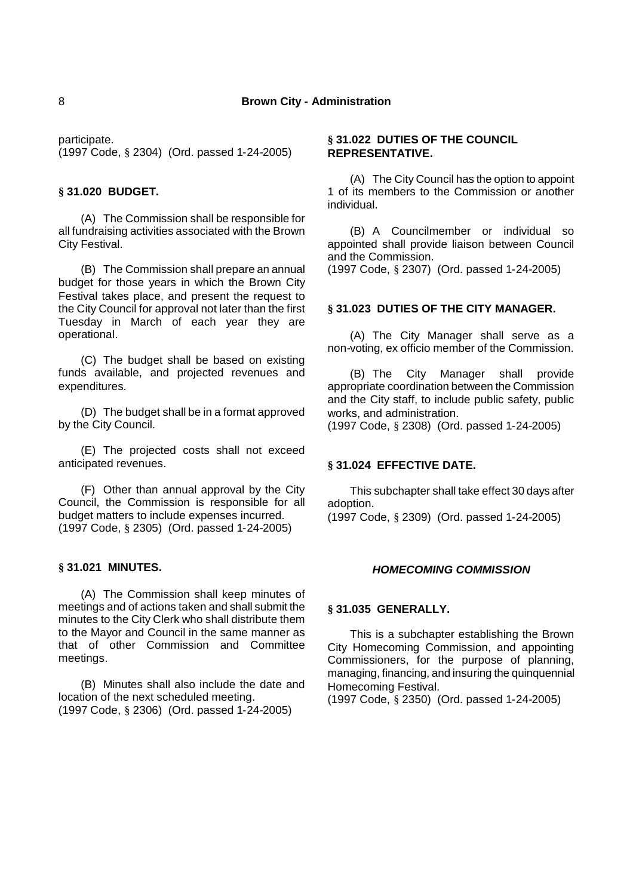participate. (1997 Code, § 2304) (Ord. passed 1-24-2005)

## **§ 31.020 BUDGET.**

(A) The Commission shall be responsible for all fundraising activities associated with the Brown City Festival.

(B) The Commission shall prepare an annual budget for those years in which the Brown City Festival takes place, and present the request to the City Council for approval not later than the first Tuesday in March of each year they are operational.

(C) The budget shall be based on existing funds available, and projected revenues and expenditures.

(D) The budget shall be in a format approved by the City Council.

(E) The projected costs shall not exceed anticipated revenues.

(F) Other than annual approval by the City Council, the Commission is responsible for all budget matters to include expenses incurred. (1997 Code, § 2305) (Ord. passed 1-24-2005)

# **§ 31.021 MINUTES.**

(A) The Commission shall keep minutes of meetings and of actions taken and shall submit the minutes to the City Clerk who shall distribute them to the Mayor and Council in the same manner as that of other Commission and Committee meetings.

(B) Minutes shall also include the date and location of the next scheduled meeting. (1997 Code, § 2306) (Ord. passed 1-24-2005)

#### **§ 31.022 DUTIES OF THE COUNCIL REPRESENTATIVE.**

(A) The City Council has the option to appoint 1 of its members to the Commission or another individual.

(B) A Councilmember or individual so appointed shall provide liaison between Council and the Commission.

(1997 Code, § 2307) (Ord. passed 1-24-2005)

# **§ 31.023 DUTIES OF THE CITY MANAGER.**

(A) The City Manager shall serve as a non-voting, ex officio member of the Commission.

(B) The City Manager shall provide appropriate coordination between the Commission and the City staff, to include public safety, public works, and administration.

(1997 Code, § 2308) (Ord. passed 1-24-2005)

#### **§ 31.024 EFFECTIVE DATE.**

This subchapter shall take effect 30 days after adoption. (1997 Code, § 2309) (Ord. passed 1-24-2005)

#### *HOMECOMING COMMISSION*

#### **§ 31.035 GENERALLY.**

This is a subchapter establishing the Brown City Homecoming Commission, and appointing Commissioners, for the purpose of planning, managing, financing, and insuring the quinquennial Homecoming Festival.

(1997 Code, § 2350) (Ord. passed 1-24-2005)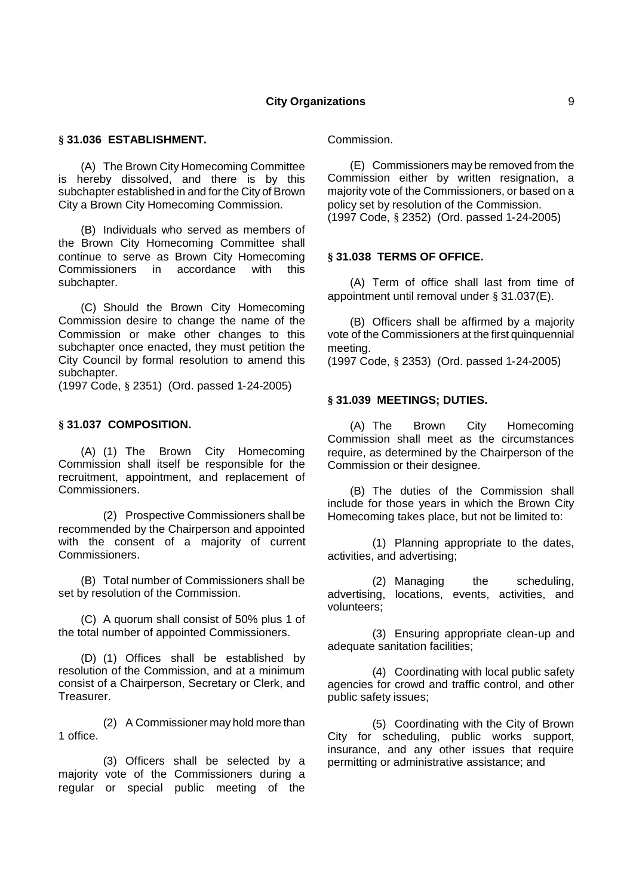#### **§ 31.036 ESTABLISHMENT.**

(A) The Brown City Homecoming Committee is hereby dissolved, and there is by this subchapter established in and for the City of Brown City a Brown City Homecoming Commission.

(B) Individuals who served as members of the Brown City Homecoming Committee shall continue to serve as Brown City Homecoming Commissioners in accordance with this subchapter.

(C) Should the Brown City Homecoming Commission desire to change the name of the Commission or make other changes to this subchapter once enacted, they must petition the City Council by formal resolution to amend this subchapter.

(1997 Code, § 2351) (Ord. passed 1-24-2005)

## **§ 31.037 COMPOSITION.**

(A) (1) The Brown City Homecoming Commission shall itself be responsible for the recruitment, appointment, and replacement of Commissioners.

(2) Prospective Commissioners shall be recommended by the Chairperson and appointed with the consent of a majority of current Commissioners.

(B) Total number of Commissioners shall be set by resolution of the Commission.

(C) A quorum shall consist of 50% plus 1 of the total number of appointed Commissioners.

(D) (1) Offices shall be established by resolution of the Commission, and at a minimum consist of a Chairperson, Secretary or Clerk, and Treasurer.

(2) A Commissioner may hold more than 1 office.

(3) Officers shall be selected by a majority vote of the Commissioners during a regular or special public meeting of the Commission.

(E) Commissioners may be removed from the Commission either by written resignation, a majority vote of the Commissioners, or based on a policy set by resolution of the Commission. (1997 Code, § 2352) (Ord. passed 1-24-2005)

#### **§ 31.038 TERMS OF OFFICE.**

(A) Term of office shall last from time of appointment until removal under § 31.037(E).

(B) Officers shall be affirmed by a majority vote of the Commissioners at the first quinquennial meeting.

(1997 Code, § 2353) (Ord. passed 1-24-2005)

## **§ 31.039 MEETINGS; DUTIES.**

(A) The Brown City Homecoming Commission shall meet as the circumstances require, as determined by the Chairperson of the Commission or their designee.

(B) The duties of the Commission shall include for those years in which the Brown City Homecoming takes place, but not be limited to:

(1) Planning appropriate to the dates, activities, and advertising;

(2) Managing the scheduling, advertising, locations, events, activities, and volunteers;

(3) Ensuring appropriate clean-up and adequate sanitation facilities;

(4) Coordinating with local public safety agencies for crowd and traffic control, and other public safety issues;

(5) Coordinating with the City of Brown City for scheduling, public works support, insurance, and any other issues that require permitting or administrative assistance; and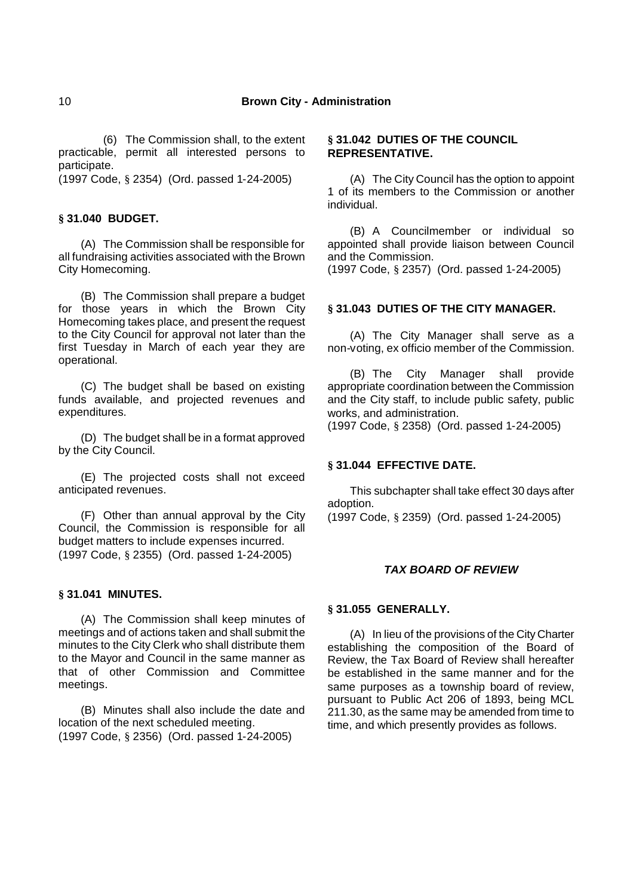(6) The Commission shall, to the extent practicable, permit all interested persons to participate.

(1997 Code, § 2354) (Ord. passed 1-24-2005)

## **§ 31.040 BUDGET.**

(A) The Commission shall be responsible for all fundraising activities associated with the Brown City Homecoming.

(B) The Commission shall prepare a budget for those years in which the Brown City Homecoming takes place, and present the request to the City Council for approval not later than the first Tuesday in March of each year they are operational.

(C) The budget shall be based on existing funds available, and projected revenues and expenditures.

(D) The budget shall be in a format approved by the City Council.

(E) The projected costs shall not exceed anticipated revenues.

(F) Other than annual approval by the City Council, the Commission is responsible for all budget matters to include expenses incurred. (1997 Code, § 2355) (Ord. passed 1-24-2005)

#### **§ 31.041 MINUTES.**

(A) The Commission shall keep minutes of meetings and of actions taken and shall submit the minutes to the City Clerk who shall distribute them to the Mayor and Council in the same manner as that of other Commission and Committee meetings.

(B) Minutes shall also include the date and location of the next scheduled meeting. (1997 Code, § 2356) (Ord. passed 1-24-2005)

## **§ 31.042 DUTIES OF THE COUNCIL REPRESENTATIVE.**

(A) The City Council has the option to appoint 1 of its members to the Commission or another individual.

(B) A Councilmember or individual so appointed shall provide liaison between Council and the Commission.

(1997 Code, § 2357) (Ord. passed 1-24-2005)

# **§ 31.043 DUTIES OF THE CITY MANAGER.**

(A) The City Manager shall serve as a non-voting, ex officio member of the Commission.

(B) The City Manager shall provide appropriate coordination between the Commission and the City staff, to include public safety, public works, and administration.

(1997 Code, § 2358) (Ord. passed 1-24-2005)

### **§ 31.044 EFFECTIVE DATE.**

This subchapter shall take effect 30 days after adoption. (1997 Code, § 2359) (Ord. passed 1-24-2005)

#### *TAX BOARD OF REVIEW*

#### **§ 31.055 GENERALLY.**

(A) In lieu of the provisions of the City Charter establishing the composition of the Board of Review, the Tax Board of Review shall hereafter be established in the same manner and for the same purposes as a township board of review, pursuant to Public Act 206 of 1893, being MCL 211.30, as the same may be amended from time to time, and which presently provides as follows.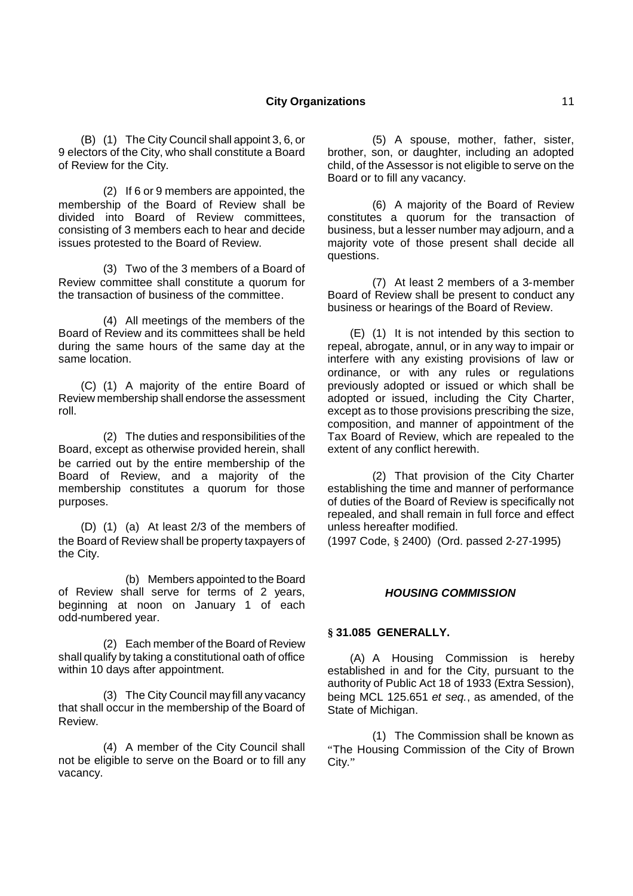(B) (1) The City Council shall appoint 3, 6, or 9 electors of the City, who shall constitute a Board of Review for the City.

(2) If 6 or 9 members are appointed, the membership of the Board of Review shall be divided into Board of Review committees, consisting of 3 members each to hear and decide issues protested to the Board of Review.

(3) Two of the 3 members of a Board of Review committee shall constitute a quorum for the transaction of business of the committee.

(4) All meetings of the members of the Board of Review and its committees shall be held during the same hours of the same day at the same location.

(C) (1) A majority of the entire Board of Review membership shall endorse the assessment roll.

(2) The duties and responsibilities of the Board, except as otherwise provided herein, shall be carried out by the entire membership of the Board of Review, and a majority of the membership constitutes a quorum for those purposes.

(D) (1) (a) At least 2/3 of the members of the Board of Review shall be property taxpayers of the City.

(b) Members appointed to the Board of Review shall serve for terms of 2 years, beginning at noon on January 1 of each odd-numbered year.

(2) Each member of the Board of Review shall qualify by taking a constitutional oath of office within 10 days after appointment.

(3) The City Council may fill any vacancy that shall occur in the membership of the Board of Review.

(4) A member of the City Council shall not be eligible to serve on the Board or to fill any vacancy.

(5) A spouse, mother, father, sister, brother, son, or daughter, including an adopted child, of the Assessor is not eligible to serve on the Board or to fill any vacancy.

(6) A majority of the Board of Review constitutes a quorum for the transaction of business, but a lesser number may adjourn, and a majority vote of those present shall decide all questions.

(7) At least 2 members of a 3-member Board of Review shall be present to conduct any business or hearings of the Board of Review.

(E) (1) It is not intended by this section to repeal, abrogate, annul, or in any way to impair or interfere with any existing provisions of law or ordinance, or with any rules or regulations previously adopted or issued or which shall be adopted or issued, including the City Charter, except as to those provisions prescribing the size, composition, and manner of appointment of the Tax Board of Review, which are repealed to the extent of any conflict herewith.

(2) That provision of the City Charter establishing the time and manner of performance of duties of the Board of Review is specifically not repealed, and shall remain in full force and effect unless hereafter modified.

(1997 Code, § 2400) (Ord. passed 2-27-1995)

# *HOUSING COMMISSION*

#### **§ 31.085 GENERALLY.**

(A) A Housing Commission is hereby established in and for the City, pursuant to the authority of Public Act 18 of 1933 (Extra Session), being MCL 125.651 *et seq.*, as amended, of the State of Michigan.

(1) The Commission shall be known as "The Housing Commission of the City of Brown City."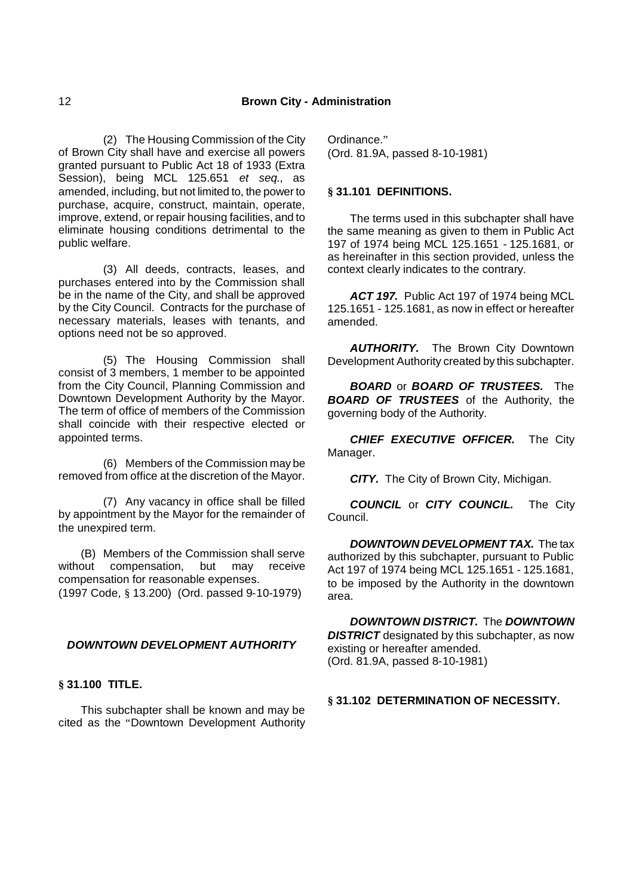(2) The Housing Commission of the City of Brown City shall have and exercise all powers granted pursuant to Public Act 18 of 1933 (Extra Session), being MCL 125.651 *et seq.*, as amended, including, but not limited to, the power to purchase, acquire, construct, maintain, operate, improve, extend, or repair housing facilities, and to eliminate housing conditions detrimental to the public welfare.

(3) All deeds, contracts, leases, and purchases entered into by the Commission shall be in the name of the City, and shall be approved by the City Council. Contracts for the purchase of necessary materials, leases with tenants, and options need not be so approved.

(5) The Housing Commission shall consist of 3 members, 1 member to be appointed from the City Council, Planning Commission and Downtown Development Authority by the Mayor. The term of office of members of the Commission shall coincide with their respective elected or appointed terms.

(6) Members of the Commission may be removed from office at the discretion of the Mayor.

(7) Any vacancy in office shall be filled by appointment by the Mayor for the remainder of the unexpired term.

(B) Members of the Commission shall serve without compensation, but may receive compensation for reasonable expenses. (1997 Code, § 13.200) (Ord. passed 9-10-1979)

# *DOWNTOWN DEVELOPMENT AUTHORITY*

## **§ 31.100 TITLE.**

This subchapter shall be known and may be cited as the "Downtown Development Authority Ordinance." (Ord. 81.9A, passed 8-10-1981)

## **§ 31.101 DEFINITIONS.**

The terms used in this subchapter shall have the same meaning as given to them in Public Act 197 of 1974 being MCL 125.1651 - 125.1681, or as hereinafter in this section provided, unless the context clearly indicates to the contrary.

*ACT 197.* Public Act 197 of 1974 being MCL 125.1651 - 125.1681, as now in effect or hereafter amended.

*AUTHORITY.* The Brown City Downtown Development Authority created by this subchapter.

*BOARD* or *BOARD OF TRUSTEES.* The *BOARD OF TRUSTEES* of the Authority, the governing body of the Authority.

*CHIEF EXECUTIVE OFFICER.* The City Manager.

*CITY.* The City of Brown City, Michigan.

*COUNCIL* or *CITY COUNCIL.* The City Council.

*DOWNTOWN DEVELOPMENT TAX.* The tax authorized by this subchapter, pursuant to Public Act 197 of 1974 being MCL 125.1651 - 125.1681, to be imposed by the Authority in the downtown area.

*DOWNTOWN DISTRICT.* The *DOWNTOWN DISTRICT* designated by this subchapter, as now existing or hereafter amended. (Ord. 81.9A, passed 8-10-1981)

# **§ 31.102 DETERMINATION OF NECESSITY.**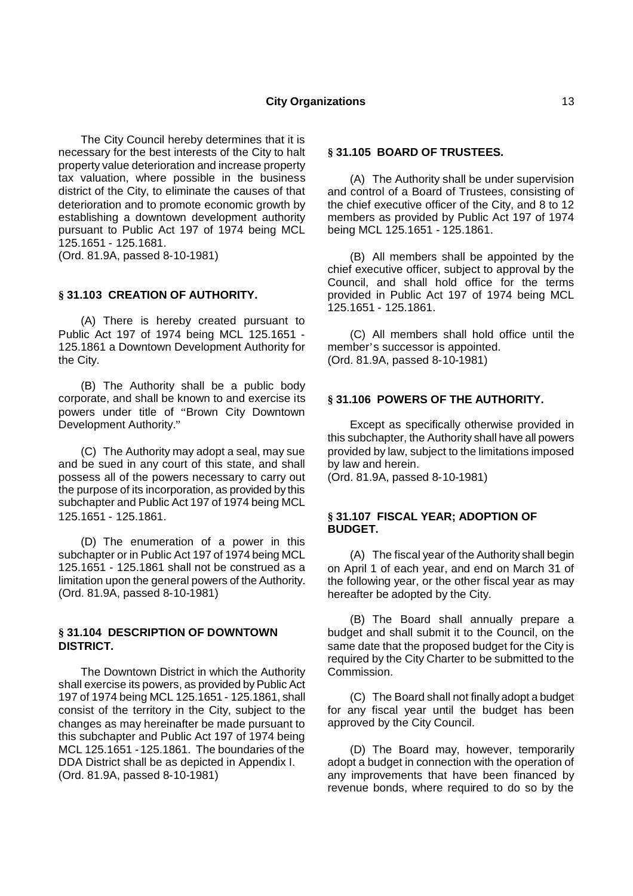The City Council hereby determines that it is necessary for the best interests of the City to halt property value deterioration and increase property tax valuation, where possible in the business district of the City, to eliminate the causes of that deterioration and to promote economic growth by establishing a downtown development authority pursuant to Public Act 197 of 1974 being MCL 125.1651 - 125.1681.

(Ord. 81.9A, passed 8-10-1981)

# **§ 31.103 CREATION OF AUTHORITY.**

(A) There is hereby created pursuant to Public Act 197 of 1974 being MCL 125.1651 - 125.1861 a Downtown Development Authority for the City.

(B) The Authority shall be a public body corporate, and shall be known to and exercise its powers under title of "Brown City Downtown Development Authority."

(C) The Authority may adopt a seal, may sue and be sued in any court of this state, and shall possess all of the powers necessary to carry out the purpose of its incorporation, as provided by this subchapter and Public Act 197 of 1974 being MCL 125.1651 - 125.1861.

(D) The enumeration of a power in this subchapter or in Public Act 197 of 1974 being MCL 125.1651 - 125.1861 shall not be construed as a limitation upon the general powers of the Authority. (Ord. 81.9A, passed 8-10-1981)

## **§ 31.104 DESCRIPTION OF DOWNTOWN DISTRICT.**

The Downtown District in which the Authority shall exercise its powers, as provided by Public Act 197 of 1974 being MCL 125.1651 - 125.1861, shall consist of the territory in the City, subject to the changes as may hereinafter be made pursuant to this subchapter and Public Act 197 of 1974 being MCL 125.1651 -125.1861. The boundaries of the DDA District shall be as depicted in Appendix I. (Ord. 81.9A, passed 8-10-1981)

#### **§ 31.105 BOARD OF TRUSTEES.**

(A) The Authority shall be under supervision and control of a Board of Trustees, consisting of the chief executive officer of the City, and 8 to 12 members as provided by Public Act 197 of 1974 being MCL 125.1651 - 125.1861.

(B) All members shall be appointed by the chief executive officer, subject to approval by the Council, and shall hold office for the terms provided in Public Act 197 of 1974 being MCL 125.1651 - 125.1861.

(C) All members shall hold office until the member's successor is appointed. (Ord. 81.9A, passed 8-10-1981)

## **§ 31.106 POWERS OF THE AUTHORITY.**

Except as specifically otherwise provided in this subchapter, the Authority shall have all powers provided by law, subject to the limitations imposed by law and herein.

(Ord. 81.9A, passed 8-10-1981)

### **§ 31.107 FISCAL YEAR; ADOPTION OF BUDGET.**

(A) The fiscal year of the Authority shall begin on April 1 of each year, and end on March 31 of the following year, or the other fiscal year as may hereafter be adopted by the City.

(B) The Board shall annually prepare a budget and shall submit it to the Council, on the same date that the proposed budget for the City is required by the City Charter to be submitted to the Commission.

(C) The Board shall not finally adopt a budget for any fiscal year until the budget has been approved by the City Council.

(D) The Board may, however, temporarily adopt a budget in connection with the operation of any improvements that have been financed by revenue bonds, where required to do so by the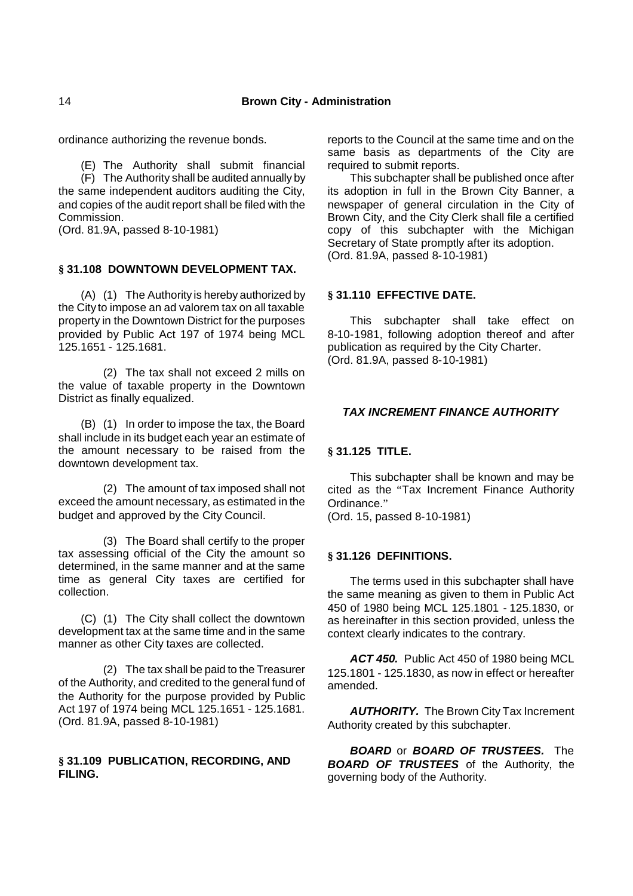ordinance authorizing the revenue bonds.

(E) The Authority shall submit financial (F) The Authority shall be audited annually by the same independent auditors auditing the City, and copies of the audit report shall be filed with the Commission.

(Ord. 81.9A, passed 8-10-1981)

# **§ 31.108 DOWNTOWN DEVELOPMENT TAX.**

(A) (1) The Authority is hereby authorized by the City to impose an ad valorem tax on all taxable property in the Downtown District for the purposes provided by Public Act 197 of 1974 being MCL 125.1651 - 125.1681.

(2) The tax shall not exceed 2 mills on the value of taxable property in the Downtown District as finally equalized.

(B) (1) In order to impose the tax, the Board shall include in its budget each year an estimate of the amount necessary to be raised from the downtown development tax.

(2) The amount of tax imposed shall not exceed the amount necessary, as estimated in the budget and approved by the City Council.

(3) The Board shall certify to the proper tax assessing official of the City the amount so determined, in the same manner and at the same time as general City taxes are certified for collection.

(C) (1) The City shall collect the downtown development tax at the same time and in the same manner as other City taxes are collected.

(2) The tax shall be paid to the Treasurer of the Authority, and credited to the general fund of the Authority for the purpose provided by Public Act 197 of 1974 being MCL 125.1651 - 125.1681. (Ord. 81.9A, passed 8-10-1981)

# **§ 31.109 PUBLICATION, RECORDING, AND FILING.**

reports to the Council at the same time and on the same basis as departments of the City are required to submit reports.

This subchapter shall be published once after its adoption in full in the Brown City Banner, a newspaper of general circulation in the City of Brown City, and the City Clerk shall file a certified copy of this subchapter with the Michigan Secretary of State promptly after its adoption. (Ord. 81.9A, passed 8-10-1981)

#### **§ 31.110 EFFECTIVE DATE.**

This subchapter shall take effect on 8-10-1981, following adoption thereof and after publication as required by the City Charter. (Ord. 81.9A, passed 8-10-1981)

#### *TAX INCREMENT FINANCE AUTHORITY*

### **§ 31.125 TITLE.**

This subchapter shall be known and may be cited as the "Tax Increment Finance Authority Ordinance." (Ord. 15, passed 8-10-1981)

# **§ 31.126 DEFINITIONS.**

The terms used in this subchapter shall have the same meaning as given to them in Public Act 450 of 1980 being MCL 125.1801 - 125.1830, or as hereinafter in this section provided, unless the context clearly indicates to the contrary.

*ACT 450.* Public Act 450 of 1980 being MCL 125.1801 - 125.1830, as now in effect or hereafter amended.

*AUTHORITY.* The Brown City Tax Increment Authority created by this subchapter.

*BOARD* or *BOARD OF TRUSTEES.* The *BOARD OF TRUSTEES* of the Authority, the governing body of the Authority.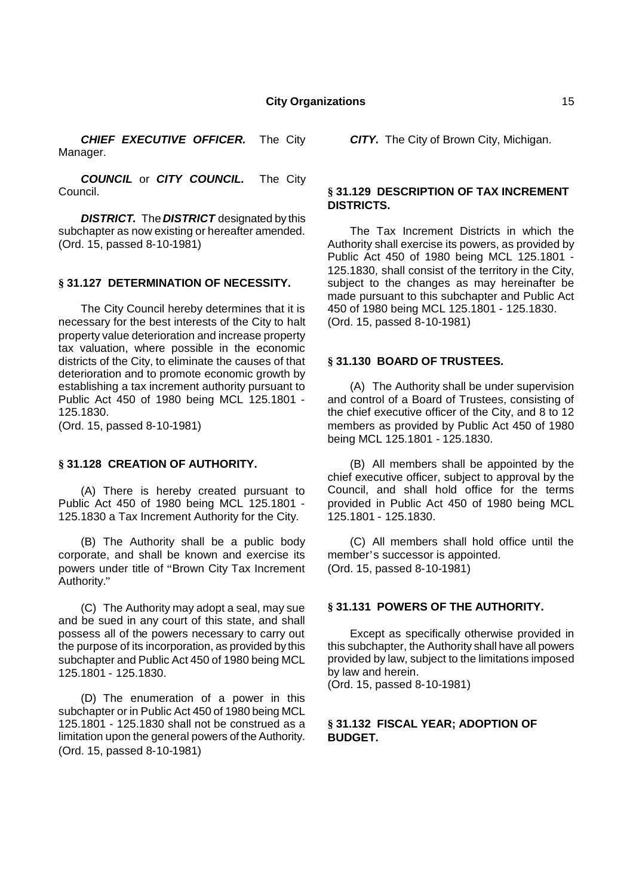*CHIEF EXECUTIVE OFFICER.* The City Manager.

*COUNCIL* or *CITY COUNCIL.* The City Council.

*DISTRICT.* The *DISTRICT* designated by this subchapter as now existing or hereafter amended. (Ord. 15, passed 8-10-1981)

#### **§ 31.127 DETERMINATION OF NECESSITY.**

The City Council hereby determines that it is necessary for the best interests of the City to halt property value deterioration and increase property tax valuation, where possible in the economic districts of the City, to eliminate the causes of that deterioration and to promote economic growth by establishing a tax increment authority pursuant to Public Act 450 of 1980 being MCL 125.1801 - 125.1830.

(Ord. 15, passed 8-10-1981)

#### **§ 31.128 CREATION OF AUTHORITY.**

(A) There is hereby created pursuant to Public Act 450 of 1980 being MCL 125.1801 - 125.1830 a Tax Increment Authority for the City.

(B) The Authority shall be a public body corporate, and shall be known and exercise its powers under title of "Brown City Tax Increment Authority."

(C) The Authority may adopt a seal, may sue and be sued in any court of this state, and shall possess all of the powers necessary to carry out the purpose of its incorporation, as provided by this subchapter and Public Act 450 of 1980 being MCL 125.1801 - 125.1830.

(D) The enumeration of a power in this subchapter or in Public Act 450 of 1980 being MCL 125.1801 - 125.1830 shall not be construed as a limitation upon the general powers of the Authority. (Ord. 15, passed 8-10-1981)

*CITY.* The City of Brown City, Michigan.

# **§ 31.129 DESCRIPTION OF TAX INCREMENT DISTRICTS.**

The Tax Increment Districts in which the Authority shall exercise its powers, as provided by Public Act 450 of 1980 being MCL 125.1801 - 125.1830, shall consist of the territory in the City, subject to the changes as may hereinafter be made pursuant to this subchapter and Public Act 450 of 1980 being MCL 125.1801 - 125.1830. (Ord. 15, passed 8-10-1981)

#### **§ 31.130 BOARD OF TRUSTEES.**

(A) The Authority shall be under supervision and control of a Board of Trustees, consisting of the chief executive officer of the City, and 8 to 12 members as provided by Public Act 450 of 1980 being MCL 125.1801 - 125.1830.

(B) All members shall be appointed by the chief executive officer, subject to approval by the Council, and shall hold office for the terms provided in Public Act 450 of 1980 being MCL 125.1801 - 125.1830.

(C) All members shall hold office until the member's successor is appointed. (Ord. 15, passed 8-10-1981)

#### **§ 31.131 POWERS OF THE AUTHORITY.**

Except as specifically otherwise provided in this subchapter, the Authority shall have all powers provided by law, subject to the limitations imposed by law and herein. (Ord. 15, passed 8-10-1981)

## **§ 31.132 FISCAL YEAR; ADOPTION OF BUDGET.**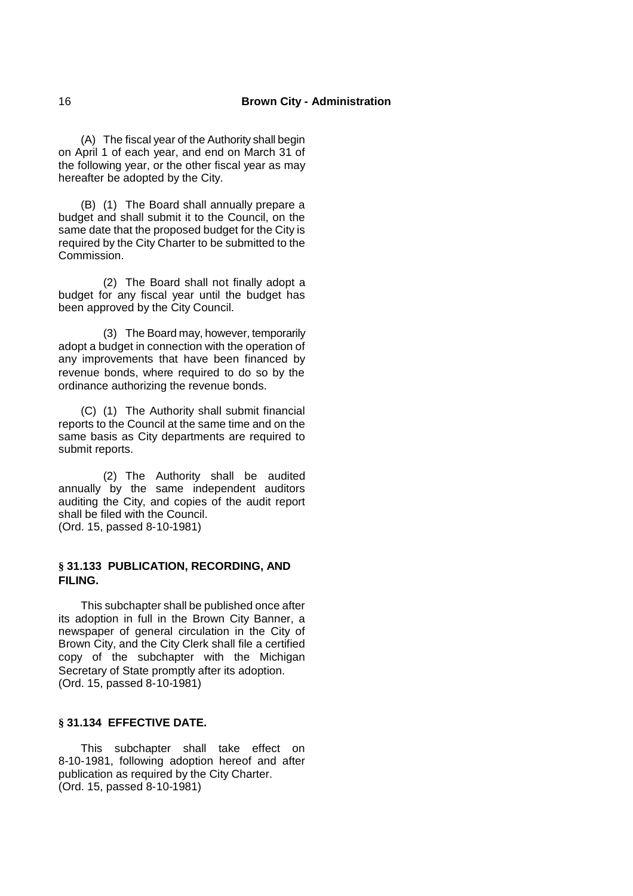(A) The fiscal year of the Authority shall begin on April 1 of each year, and end on March 31 of the following year, or the other fiscal year as may hereafter be adopted by the City.

(B) (1) The Board shall annually prepare a budget and shall submit it to the Council, on the same date that the proposed budget for the City is required by the City Charter to be submitted to the Commission.

(2) The Board shall not finally adopt a budget for any fiscal year until the budget has been approved by the City Council.

(3) The Board may, however, temporarily adopt a budget in connection with the operation of any improvements that have been financed by revenue bonds, where required to do so by the ordinance authorizing the revenue bonds.

(C) (1) The Authority shall submit financial reports to the Council at the same time and on the same basis as City departments are required to submit reports.

(2) The Authority shall be audited annually by the same independent auditors auditing the City, and copies of the audit report shall be filed with the Council. (Ord. 15, passed 8-10-1981)

## **§ 31.133 PUBLICATION, RECORDING, AND FILING.**

This subchapter shall be published once after its adoption in full in the Brown City Banner, a newspaper of general circulation in the City of Brown City, and the City Clerk shall file a certified copy of the subchapter with the Michigan Secretary of State promptly after its adoption. (Ord. 15, passed 8-10-1981)

### **§ 31.134 EFFECTIVE DATE.**

This subchapter shall take effect on 8-10-1981, following adoption hereof and after publication as required by the City Charter. (Ord. 15, passed 8-10-1981)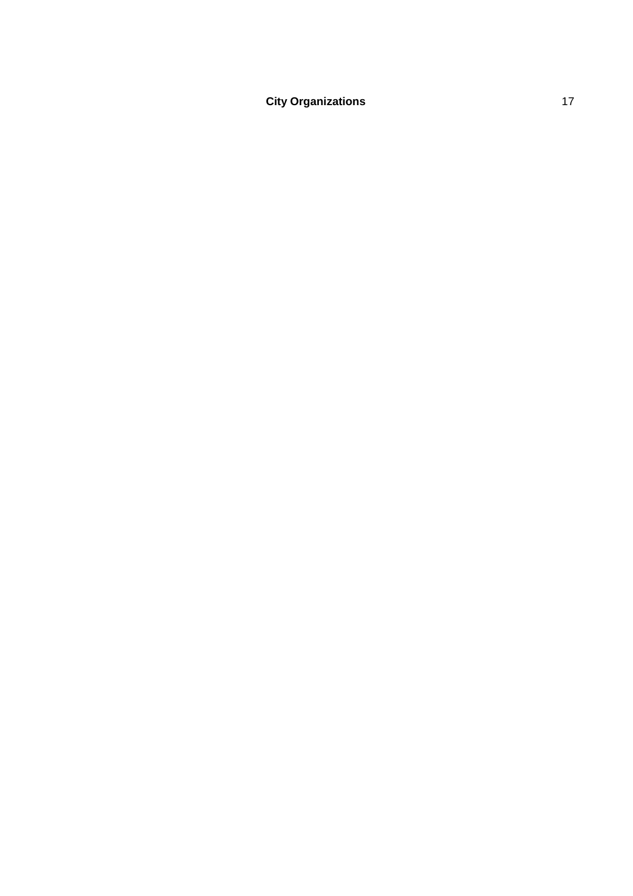**City Organizations** 17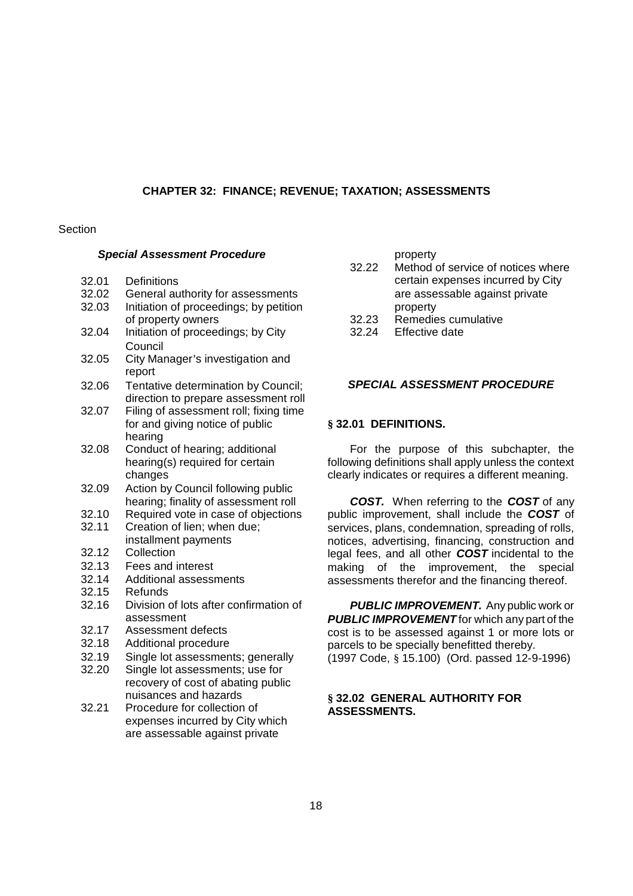### **CHAPTER 32: FINANCE; REVENUE; TAXATION; ASSESSMENTS**

#### **Section**

#### *Special Assessment Procedure*

- 32.01 Definitions
- 32.02 General authority for assessments
- 32.03 Initiation of proceedings; by petition of property owners
- 32.04 Initiation of proceedings; by City Council
- 32.05 City Manager's investigation and report
- 32.06 Tentative determination by Council; direction to prepare assessment roll
- 32.07 Filing of assessment roll; fixing time for and giving notice of public hearing
- 32.08 Conduct of hearing; additional hearing(s) required for certain changes
- 32.09 Action by Council following public hearing; finality of assessment roll
- 32.10 Required vote in case of objections
- 32.11 Creation of lien; when due; installment payments
- 32.12 Collection
- 32.13 Fees and interest
- 32.14 Additional assessments
- 32.15 Refunds
- 32.16 Division of lots after confirmation of assessment
- 32.17 Assessment defects
- 32.18 Additional procedure
- 32.19 Single lot assessments; generally
- 32.20 Single lot assessments; use for recovery of cost of abating public nuisances and hazards
- 32.21 Procedure for collection of expenses incurred by City which are assessable against private

property

- 32.22 Method of service of notices where certain expenses incurred by City are assessable against private property
- 32.23 Remedies cumulative
- 32.24 Effective date

#### *SPECIAL ASSESSMENT PROCEDURE*

#### **§ 32.01 DEFINITIONS.**

For the purpose of this subchapter, the following definitions shall apply unless the context clearly indicates or requires a different meaning.

*COST.* When referring to the *COST* of any public improvement, shall include the *COST* of services, plans, condemnation, spreading of rolls, notices, advertising, financing, construction and legal fees, and all other *COST* incidental to the making of the improvement, the special assessments therefor and the financing thereof.

*PUBLIC IMPROVEMENT.* Any public work or *PUBLIC IMPROVEMENT* for which any part of the cost is to be assessed against 1 or more lots or parcels to be specially benefitted thereby. (1997 Code, § 15.100) (Ord. passed 12-9-1996)

# **§ 32.02 GENERAL AUTHORITY FOR ASSESSMENTS.**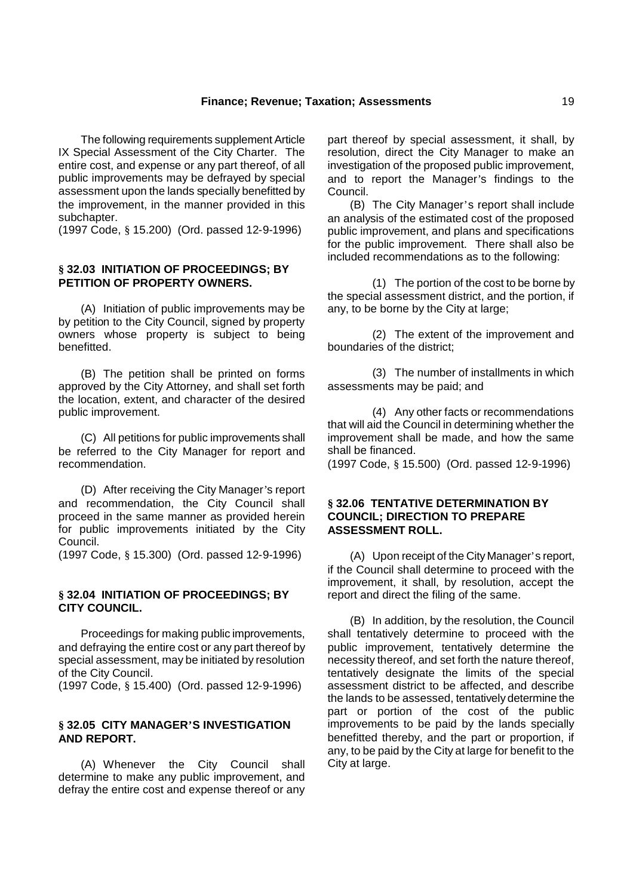The following requirements supplement Article IX Special Assessment of the City Charter. The entire cost, and expense or any part thereof, of all public improvements may be defrayed by special assessment upon the lands specially benefitted by the improvement, in the manner provided in this subchapter.

(1997 Code, § 15.200) (Ord. passed 12-9-1996)

# **§ 32.03 INITIATION OF PROCEEDINGS; BY PETITION OF PROPERTY OWNERS.**

(A) Initiation of public improvements may be by petition to the City Council, signed by property owners whose property is subject to being benefitted.

(B) The petition shall be printed on forms approved by the City Attorney, and shall set forth the location, extent, and character of the desired public improvement.

(C) All petitions for public improvements shall be referred to the City Manager for report and recommendation.

(D) After receiving the City Manager's report and recommendation, the City Council shall proceed in the same manner as provided herein for public improvements initiated by the City Council.

(1997 Code, § 15.300) (Ord. passed 12-9-1996)

#### **§ 32.04 INITIATION OF PROCEEDINGS; BY CITY COUNCIL.**

Proceedings for making public improvements, and defraying the entire cost or any part thereof by special assessment, may be initiated by resolution of the City Council.

(1997 Code, § 15.400) (Ord. passed 12-9-1996)

# **§ 32.05 CITY MANAGER'S INVESTIGATION AND REPORT.**

(A) Whenever the City Council shall determine to make any public improvement, and defray the entire cost and expense thereof or any

part thereof by special assessment, it shall, by resolution, direct the City Manager to make an investigation of the proposed public improvement, and to report the Manager's findings to the Council.

(B) The City Manager's report shall include an analysis of the estimated cost of the proposed public improvement, and plans and specifications for the public improvement. There shall also be included recommendations as to the following:

(1) The portion of the cost to be borne by the special assessment district, and the portion, if any, to be borne by the City at large;

(2) The extent of the improvement and boundaries of the district;

(3) The number of installments in which assessments may be paid; and

(4) Any other facts or recommendations that will aid the Council in determining whether the improvement shall be made, and how the same shall be financed.

(1997 Code, § 15.500) (Ord. passed 12-9-1996)

# **§ 32.06 TENTATIVE DETERMINATION BY COUNCIL; DIRECTION TO PREPARE ASSESSMENT ROLL.**

(A) Upon receipt of the City Manager's report, if the Council shall determine to proceed with the improvement, it shall, by resolution, accept the report and direct the filing of the same.

(B) In addition, by the resolution, the Council shall tentatively determine to proceed with the public improvement, tentatively determine the necessity thereof, and set forth the nature thereof, tentatively designate the limits of the special assessment district to be affected, and describe the lands to be assessed, tentatively determine the part or portion of the cost of the public improvements to be paid by the lands specially benefitted thereby, and the part or proportion, if any, to be paid by the City at large for benefit to the City at large.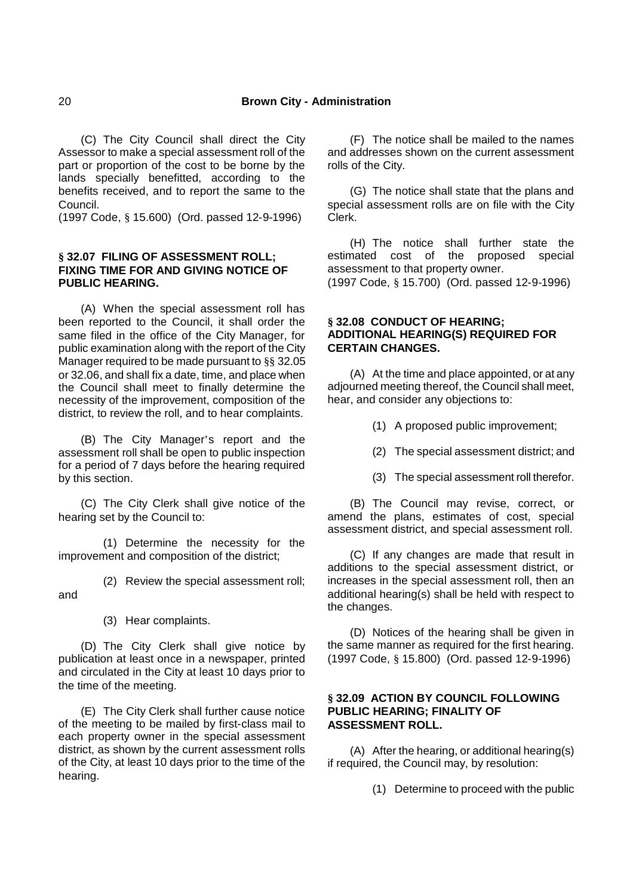(C) The City Council shall direct the City Assessor to make a special assessment roll of the part or proportion of the cost to be borne by the lands specially benefitted, according to the benefits received, and to report the same to the Council.

(1997 Code, § 15.600) (Ord. passed 12-9-1996)

## **§ 32.07 FILING OF ASSESSMENT ROLL; FIXING TIME FOR AND GIVING NOTICE OF PUBLIC HEARING.**

(A) When the special assessment roll has been reported to the Council, it shall order the same filed in the office of the City Manager, for public examination along with the report of the City Manager required to be made pursuant to §§ 32.05 or 32.06, and shall fix a date, time, and place when the Council shall meet to finally determine the necessity of the improvement, composition of the district, to review the roll, and to hear complaints.

(B) The City Manager's report and the assessment roll shall be open to public inspection for a period of 7 days before the hearing required by this section.

(C) The City Clerk shall give notice of the hearing set by the Council to:

(1) Determine the necessity for the improvement and composition of the district;

(2) Review the special assessment roll; and

(3) Hear complaints.

(D) The City Clerk shall give notice by publication at least once in a newspaper, printed and circulated in the City at least 10 days prior to the time of the meeting.

(E) The City Clerk shall further cause notice of the meeting to be mailed by first-class mail to each property owner in the special assessment district, as shown by the current assessment rolls of the City, at least 10 days prior to the time of the hearing.

(F) The notice shall be mailed to the names and addresses shown on the current assessment rolls of the City.

(G) The notice shall state that the plans and special assessment rolls are on file with the City Clerk.

(H) The notice shall further state the estimated cost of the proposed special assessment to that property owner.

(1997 Code, § 15.700) (Ord. passed 12-9-1996)

# **§ 32.08 CONDUCT OF HEARING; ADDITIONAL HEARING(S) REQUIRED FOR CERTAIN CHANGES.**

(A) At the time and place appointed, or at any adjourned meeting thereof, the Council shall meet, hear, and consider any objections to:

- (1) A proposed public improvement;
- (2) The special assessment district; and
- (3) The special assessment roll therefor.

(B) The Council may revise, correct, or amend the plans, estimates of cost, special assessment district, and special assessment roll.

(C) If any changes are made that result in additions to the special assessment district, or increases in the special assessment roll, then an additional hearing(s) shall be held with respect to the changes.

(D) Notices of the hearing shall be given in the same manner as required for the first hearing. (1997 Code, § 15.800) (Ord. passed 12-9-1996)

# **§ 32.09 ACTION BY COUNCIL FOLLOWING PUBLIC HEARING; FINALITY OF ASSESSMENT ROLL.**

(A) After the hearing, or additional hearing(s) if required, the Council may, by resolution:

(1) Determine to proceed with the public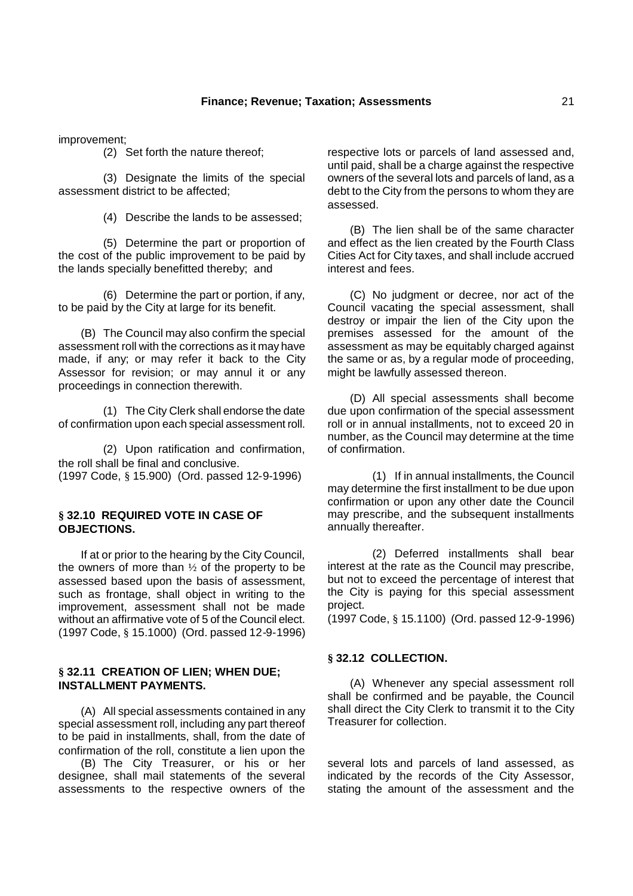improvement;

(2) Set forth the nature thereof;

(3) Designate the limits of the special assessment district to be affected;

(4) Describe the lands to be assessed;

(5) Determine the part or proportion of the cost of the public improvement to be paid by the lands specially benefitted thereby; and

(6) Determine the part or portion, if any, to be paid by the City at large for its benefit.

(B) The Council may also confirm the special assessment roll with the corrections as it may have made, if any; or may refer it back to the City Assessor for revision; or may annul it or any proceedings in connection therewith.

(1) The City Clerk shall endorse the date of confirmation upon each special assessment roll.

(2) Upon ratification and confirmation, the roll shall be final and conclusive. (1997 Code, § 15.900) (Ord. passed 12-9-1996)

# **§ 32.10 REQUIRED VOTE IN CASE OF OBJECTIONS.**

If at or prior to the hearing by the City Council, the owners of more than  $\frac{1}{2}$  of the property to be assessed based upon the basis of assessment, such as frontage, shall object in writing to the improvement, assessment shall not be made without an affirmative vote of 5 of the Council elect. (1997 Code, § 15.1000) (Ord. passed 12-9-1996)

## **§ 32.11 CREATION OF LIEN; WHEN DUE; INSTALLMENT PAYMENTS.**

(A) All special assessments contained in any special assessment roll, including any part thereof to be paid in installments, shall, from the date of confirmation of the roll, constitute a lien upon the

(B) The City Treasurer, or his or her designee, shall mail statements of the several assessments to the respective owners of the

respective lots or parcels of land assessed and, until paid, shall be a charge against the respective owners of the several lots and parcels of land, as a debt to the City from the persons to whom they are assessed.

(B) The lien shall be of the same character and effect as the lien created by the Fourth Class Cities Act for City taxes, and shall include accrued interest and fees.

(C) No judgment or decree, nor act of the Council vacating the special assessment, shall destroy or impair the lien of the City upon the premises assessed for the amount of the assessment as may be equitably charged against the same or as, by a regular mode of proceeding, might be lawfully assessed thereon.

(D) All special assessments shall become due upon confirmation of the special assessment roll or in annual installments, not to exceed 20 in number, as the Council may determine at the time of confirmation.

(1) If in annual installments, the Council may determine the first installment to be due upon confirmation or upon any other date the Council may prescribe, and the subsequent installments annually thereafter.

(2) Deferred installments shall bear interest at the rate as the Council may prescribe, but not to exceed the percentage of interest that the City is paying for this special assessment project.

(1997 Code, § 15.1100) (Ord. passed 12-9-1996)

# **§ 32.12 COLLECTION.**

(A) Whenever any special assessment roll shall be confirmed and be payable, the Council shall direct the City Clerk to transmit it to the City Treasurer for collection.

several lots and parcels of land assessed, as indicated by the records of the City Assessor, stating the amount of the assessment and the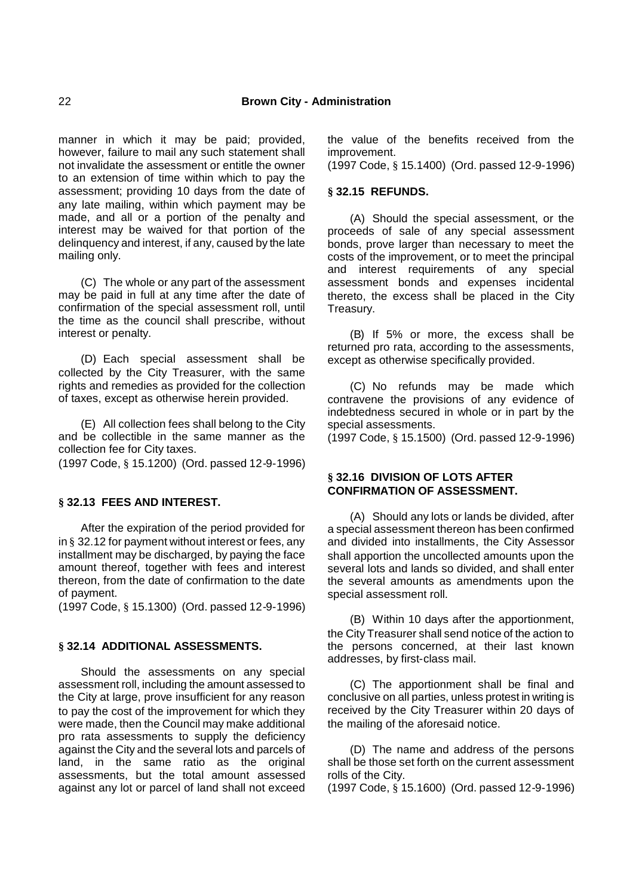manner in which it may be paid; provided, however, failure to mail any such statement shall not invalidate the assessment or entitle the owner to an extension of time within which to pay the assessment; providing 10 days from the date of any late mailing, within which payment may be made, and all or a portion of the penalty and interest may be waived for that portion of the delinquency and interest, if any, caused by the late mailing only.

(C) The whole or any part of the assessment may be paid in full at any time after the date of confirmation of the special assessment roll, until the time as the council shall prescribe, without interest or penalty.

(D) Each special assessment shall be collected by the City Treasurer, with the same rights and remedies as provided for the collection of taxes, except as otherwise herein provided.

(E) All collection fees shall belong to the City and be collectible in the same manner as the collection fee for City taxes.

(1997 Code, § 15.1200) (Ord. passed 12-9-1996)

# **§ 32.13 FEES AND INTEREST.**

After the expiration of the period provided for in § 32.12 for payment without interest or fees, any installment may be discharged, by paying the face amount thereof, together with fees and interest thereon, from the date of confirmation to the date of payment.

(1997 Code, § 15.1300) (Ord. passed 12-9-1996)

#### **§ 32.14 ADDITIONAL ASSESSMENTS.**

Should the assessments on any special assessment roll, including the amount assessed to the City at large, prove insufficient for any reason to pay the cost of the improvement for which they were made, then the Council may make additional pro rata assessments to supply the deficiency against the City and the several lots and parcels of land, in the same ratio as the original assessments, but the total amount assessed against any lot or parcel of land shall not exceed

the value of the benefits received from the improvement.

(1997 Code, § 15.1400) (Ord. passed 12-9-1996)

## **§ 32.15 REFUNDS.**

(A) Should the special assessment, or the proceeds of sale of any special assessment bonds, prove larger than necessary to meet the costs of the improvement, or to meet the principal and interest requirements of any special assessment bonds and expenses incidental thereto, the excess shall be placed in the City Treasury.

(B) If 5% or more, the excess shall be returned pro rata, according to the assessments, except as otherwise specifically provided.

(C) No refunds may be made which contravene the provisions of any evidence of indebtedness secured in whole or in part by the special assessments.

(1997 Code, § 15.1500) (Ord. passed 12-9-1996)

# **§ 32.16 DIVISION OF LOTS AFTER CONFIRMATION OF ASSESSMENT.**

(A) Should any lots or lands be divided, after a special assessment thereon has been confirmed and divided into installments, the City Assessor shall apportion the uncollected amounts upon the several lots and lands so divided, and shall enter the several amounts as amendments upon the special assessment roll.

(B) Within 10 days after the apportionment, the City Treasurer shall send notice of the action to the persons concerned, at their last known addresses, by first-class mail.

(C) The apportionment shall be final and conclusive on all parties, unless protest in writing is received by the City Treasurer within 20 days of the mailing of the aforesaid notice.

(D) The name and address of the persons shall be those set forth on the current assessment rolls of the City.

(1997 Code, § 15.1600) (Ord. passed 12-9-1996)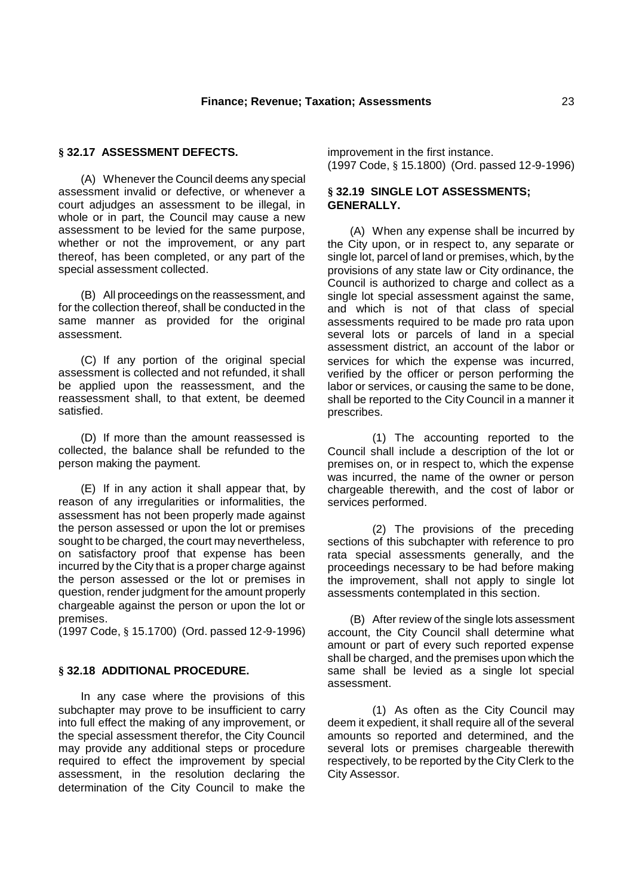## **§ 32.17 ASSESSMENT DEFECTS.**

(A) Whenever the Council deems any special assessment invalid or defective, or whenever a court adjudges an assessment to be illegal, in whole or in part, the Council may cause a new assessment to be levied for the same purpose, whether or not the improvement, or any part thereof, has been completed, or any part of the special assessment collected.

(B) All proceedings on the reassessment, and for the collection thereof, shall be conducted in the same manner as provided for the original assessment.

(C) If any portion of the original special assessment is collected and not refunded, it shall be applied upon the reassessment, and the reassessment shall, to that extent, be deemed satisfied.

(D) If more than the amount reassessed is collected, the balance shall be refunded to the person making the payment.

(E) If in any action it shall appear that, by reason of any irregularities or informalities, the assessment has not been properly made against the person assessed or upon the lot or premises sought to be charged, the court may nevertheless, on satisfactory proof that expense has been incurred by the City that is a proper charge against the person assessed or the lot or premises in question, render judgment for the amount properly chargeable against the person or upon the lot or premises.

(1997 Code, § 15.1700) (Ord. passed 12-9-1996)

# **§ 32.18 ADDITIONAL PROCEDURE.**

In any case where the provisions of this subchapter may prove to be insufficient to carry into full effect the making of any improvement, or the special assessment therefor, the City Council may provide any additional steps or procedure required to effect the improvement by special assessment, in the resolution declaring the determination of the City Council to make the

improvement in the first instance. (1997 Code, § 15.1800) (Ord. passed 12-9-1996)

# **§ 32.19 SINGLE LOT ASSESSMENTS; GENERALLY.**

(A) When any expense shall be incurred by the City upon, or in respect to, any separate or single lot, parcel of land or premises, which, by the provisions of any state law or City ordinance, the Council is authorized to charge and collect as a single lot special assessment against the same, and which is not of that class of special assessments required to be made pro rata upon several lots or parcels of land in a special assessment district, an account of the labor or services for which the expense was incurred, verified by the officer or person performing the labor or services, or causing the same to be done, shall be reported to the City Council in a manner it prescribes.

(1) The accounting reported to the Council shall include a description of the lot or premises on, or in respect to, which the expense was incurred, the name of the owner or person chargeable therewith, and the cost of labor or services performed.

(2) The provisions of the preceding sections of this subchapter with reference to pro rata special assessments generally, and the proceedings necessary to be had before making the improvement, shall not apply to single lot assessments contemplated in this section.

(B) After review of the single lots assessment account, the City Council shall determine what amount or part of every such reported expense shall be charged, and the premises upon which the same shall be levied as a single lot special assessment.

(1) As often as the City Council may deem it expedient, it shall require all of the several amounts so reported and determined, and the several lots or premises chargeable therewith respectively, to be reported by the City Clerk to the City Assessor.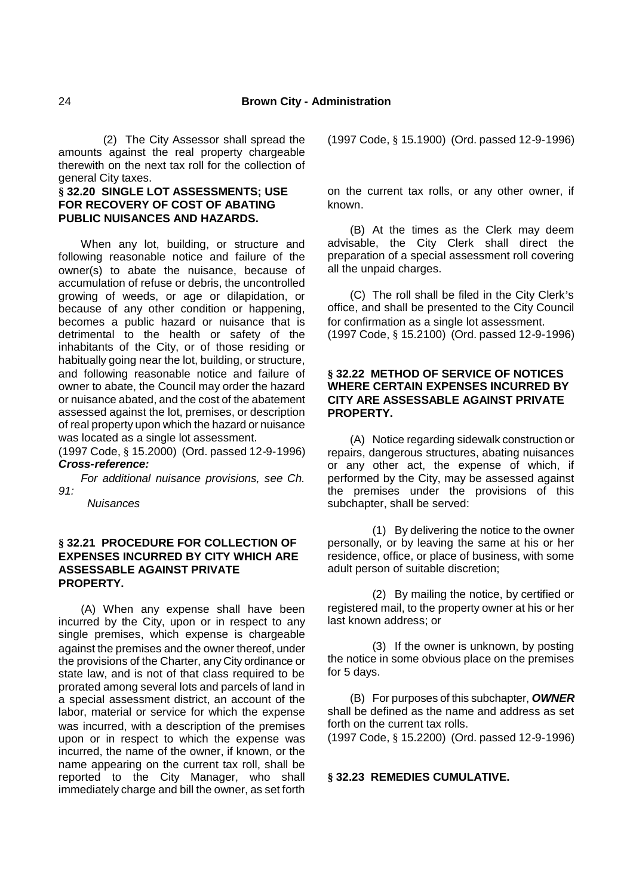(2) The City Assessor shall spread the amounts against the real property chargeable therewith on the next tax roll for the collection of general City taxes.

#### **§ 32.20 SINGLE LOT ASSESSMENTS; USE FOR RECOVERY OF COST OF ABATING PUBLIC NUISANCES AND HAZARDS.**

When any lot, building, or structure and following reasonable notice and failure of the owner(s) to abate the nuisance, because of accumulation of refuse or debris, the uncontrolled growing of weeds, or age or dilapidation, or because of any other condition or happening, becomes a public hazard or nuisance that is detrimental to the health or safety of the inhabitants of the City, or of those residing or habitually going near the lot, building, or structure, and following reasonable notice and failure of owner to abate, the Council may order the hazard or nuisance abated, and the cost of the abatement assessed against the lot, premises, or description of real property upon which the hazard or nuisance was located as a single lot assessment.

(1997 Code, § 15.2000) (Ord. passed 12-9-1996) *Cross-reference:*

*For additional nuisance provisions, see Ch. 91:*

*Nuisances*

### **§ 32.21 PROCEDURE FOR COLLECTION OF EXPENSES INCURRED BY CITY WHICH ARE ASSESSABLE AGAINST PRIVATE PROPERTY.**

(A) When any expense shall have been incurred by the City, upon or in respect to any single premises, which expense is chargeable against the premises and the owner thereof, under the provisions of the Charter, any City ordinance or state law, and is not of that class required to be prorated among several lots and parcels of land in a special assessment district, an account of the labor, material or service for which the expense was incurred, with a description of the premises upon or in respect to which the expense was incurred, the name of the owner, if known, or the name appearing on the current tax roll, shall be reported to the City Manager, who shall immediately charge and bill the owner, as set forth

(1997 Code, § 15.1900) (Ord. passed 12-9-1996)

on the current tax rolls, or any other owner, if known.

(B) At the times as the Clerk may deem advisable, the City Clerk shall direct the preparation of a special assessment roll covering all the unpaid charges.

(C) The roll shall be filed in the City Clerk's office, and shall be presented to the City Council for confirmation as a single lot assessment. (1997 Code, § 15.2100) (Ord. passed 12-9-1996)

# **§ 32.22 METHOD OF SERVICE OF NOTICES WHERE CERTAIN EXPENSES INCURRED BY CITY ARE ASSESSABLE AGAINST PRIVATE PROPERTY.**

(A) Notice regarding sidewalk construction or repairs, dangerous structures, abating nuisances or any other act, the expense of which, if performed by the City, may be assessed against the premises under the provisions of this subchapter, shall be served:

(1) By delivering the notice to the owner personally, or by leaving the same at his or her residence, office, or place of business, with some adult person of suitable discretion;

(2) By mailing the notice, by certified or registered mail, to the property owner at his or her last known address; or

(3) If the owner is unknown, by posting the notice in some obvious place on the premises for 5 days.

(B) For purposes of this subchapter, *OWNER* shall be defined as the name and address as set forth on the current tax rolls.

(1997 Code, § 15.2200) (Ord. passed 12-9-1996)

# **§ 32.23 REMEDIES CUMULATIVE.**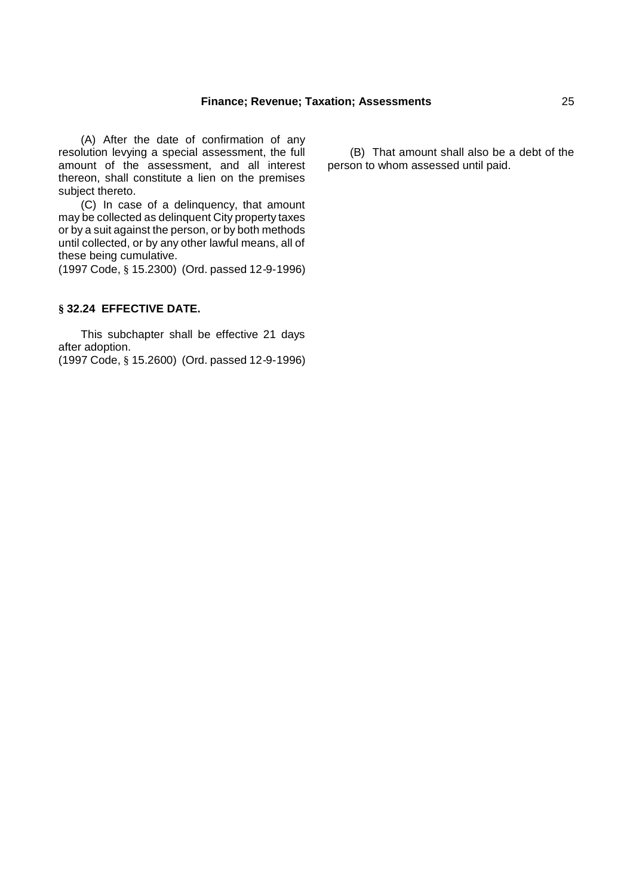(A) After the date of confirmation of any resolution levying a special assessment, the full amount of the assessment, and all interest thereon, shall constitute a lien on the premises subject thereto.

(C) In case of a delinquency, that amount may be collected as delinquent City property taxes or by a suit against the person, or by both methods until collected, or by any other lawful means, all of these being cumulative.

(1997 Code, § 15.2300) (Ord. passed 12-9-1996)

# **§ 32.24 EFFECTIVE DATE.**

This subchapter shall be effective 21 days after adoption.

(1997 Code, § 15.2600) (Ord. passed 12-9-1996)

(B) That amount shall also be a debt of the person to whom assessed until paid.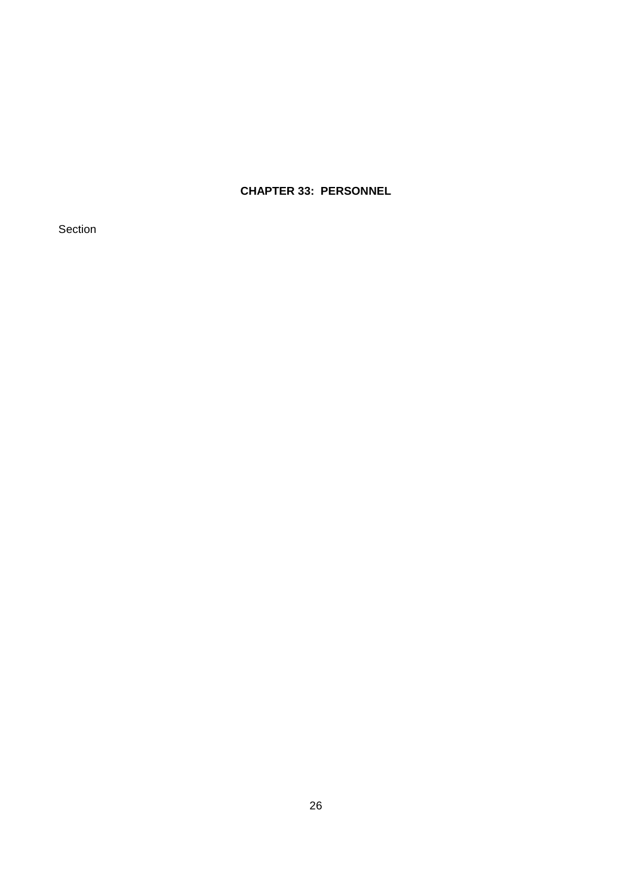# **CHAPTER 33: PERSONNEL**

Section